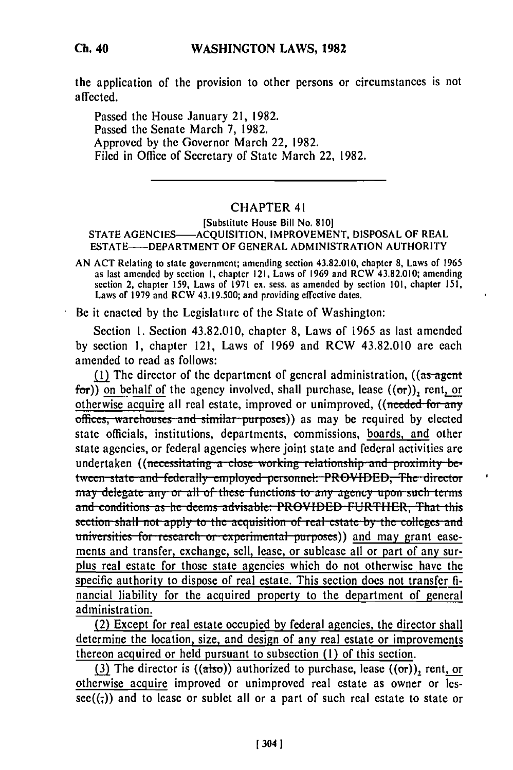the application of the provision to other persons or circumstances is not affected.

Passed the House January 21, 1982. Passed the Senate March 7, 1982. Approved by the Governor March 22, 1982. Filed in Office of Secretary of State March 22, 1982.

## **CHAPTER 41**

## [Substitute House Bill No. 810] STATE AGENCIES-ACQUISITION, IMPROVEMENT, DISPOSAL OF REAL ESTATE——DEPARTMENT OF GENERAL ADMINISTRATION AUTHORITY

AN ACT Relating to state government; amending section 43.82.010, chapter 8, Laws of 1965 as last amended by section 1, chapter 121, Laws of 1969 and RCW 43.82.010; amending section 2, chapter 159, Laws of 1971 ex. sess. as amended by section 101, chapter 151, Laws of 1979 and RCW 43.19.500; and providing effective dates.

Be it enacted by the Legislature of the State of Washington:

Section 1. Section 43.82.010, chapter 8, Laws of 1965 as last amended by section 1, chapter 121, Laws of 1969 and RCW 43.82.010 are each amended to read as follows:

(1) The director of the department of general administration,  $((as agent$ for)) on behalf of the agency involved, shall purchase, lease  $((\sigma r))$ , rent, or otherwise acquire all real estate, improved or unimproved, ((needed for any offices, warehouses and similar purposes)) as may be required by elected state officials, institutions, departments, commissions, boards, and other state agencies, or federal agencies where joint state and federal activities are undertaken ((necessitating a close working relationship and proximity between state and federally employed personnel: PROVIDED, The director may delegate any or all of these functions to any agency upon such terms and conditions as he deems advisable: PROVIDED FURTHER, That this section shall not apply to the acquisition of real estate by the colleges and universities for research or experimental purposes)) and may grant easements and transfer, exchange, sell, lease, or sublease all or part of any surplus real estate for those state agencies which do not otherwise have the specific authority to dispose of real estate. This section does not transfer financial liability for the acquired property to the department of general administration.

(2) Except for real estate occupied by federal agencies, the director shall determine the location, size, and design of any real estate or improvements thereon acquired or held pursuant to subsection (1) of this section.

(3) The director is  $((a\cdot)$  authorized to purchase, lease  $((\sigma r))$ , rent, or otherwise acquire improved or unimproved real estate as owner or les- $\sec((\tau))$  and to lease or sublet all or a part of such real estate to state or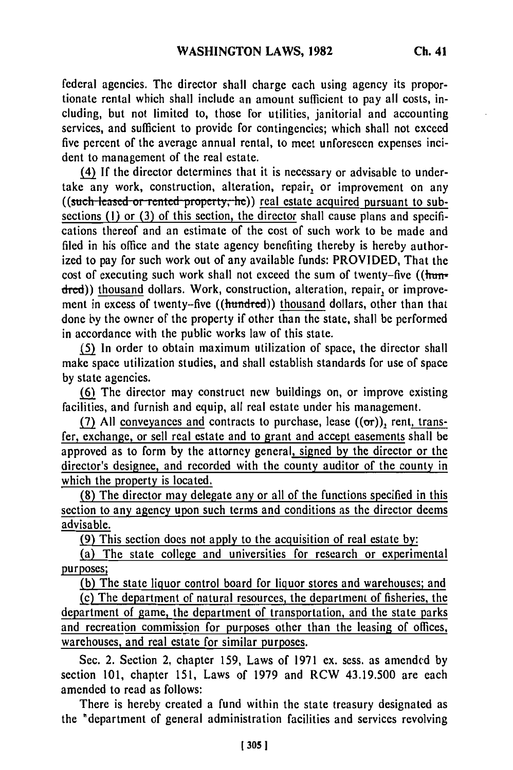federal agencies. The director shall charge each using agency its proportionate rental which shall include an amount sufficient to pay all costs, including, but not limited to, those for utilities, janitorial and accounting services, and sufficient to provide for contingencies; which shall not exceed five percent of the average annual rental, to meet unforeseen expenses incident to management of the real estate.

(4) If the director determines that it is necessary or advisable to undertake any work, construction, alteration, repair, or improvement on any ((such leased or rented property, he)) real estate acquired pursuant to subsections (1) or (3) of this section, the director shall cause plans and specifications thereof and an estimate of the cost of such work to be made and filed in his office and the state agency benefiting thereby is hereby authorized to pay for such work out of any available funds: PROVIDED, That the cost of executing such work shall not exceed the sum of twenty-five ( $(\frac{\hbar}{\hbar})$ dred)) thousand dollars. Work, construction, alteration, repair, or improvement in excess of twenty-five ((hundred)) thousand dollars, other than that done by the owner of the property if other than the state, shall be performed in accordance with the public works law of this state.

**(5)** In order to obtain maximum utilization of space, the director shall make space utilization studies, and shall establish standards for use of space by state agencies.

**(6)** The director may construct new buildings on, or improve existing facilities, and furnish and equip, all real estate under his management.

(7) All conveyances and contracts to purchase, lease  $((\sigma r))$ , rent, transfer, exchange, or sell real estate and to grant and accept easements shall be approved as to form by the attorney general, signed by the director or the director's designee, and recorded with the county auditor of the county in which the property is located.

(8) The director may delegate any or all of the functions specified in this section to any agency upon such terms and conditions as the director deems advisable.

(9) This section does not apply to the acquisition of real estate by:

(a) The state college and universities for research or experimental purposes;

(b) The state liquor control board for liquor stores and warehouses; and

Lc) The department of natural resources, the department of fisheries, the department of game, the department of transportation, and the state parks and recreation commission for purposes other than the leasing of offices, warehouses, and real estate for similar purposes.

See. 2. Section 2, chapter 159, Laws of 1971 ex. sess. as amended by section 101, chapter 151, Laws of 1979 and RCW 43.19.500 are each amended to read as follows:

There is hereby created a fund within the state treasury designated as the "department of general administration facilities and services revolving